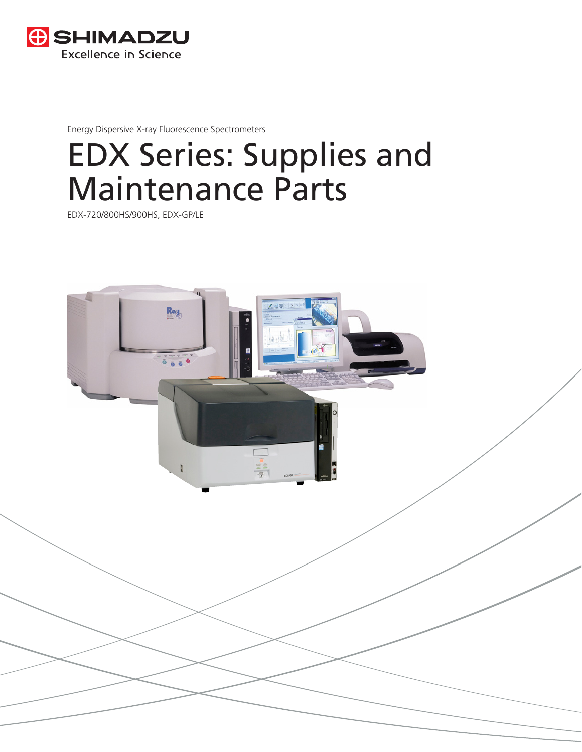

Energy Dispersive X-ray Fluorescence Spectrometers

# EDX Series: Supplies and Maintenance Parts

EDX-720/800HS/900HS, EDX-GP/LE

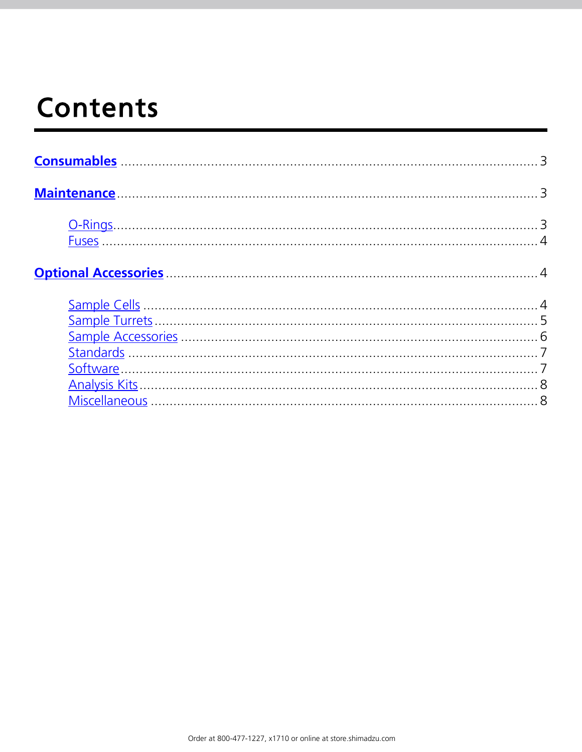# <span id="page-1-0"></span>**Contents**

| Maintenance 3 |  |
|---------------|--|
|               |  |
|               |  |
|               |  |
|               |  |
|               |  |
|               |  |
|               |  |
|               |  |
|               |  |
|               |  |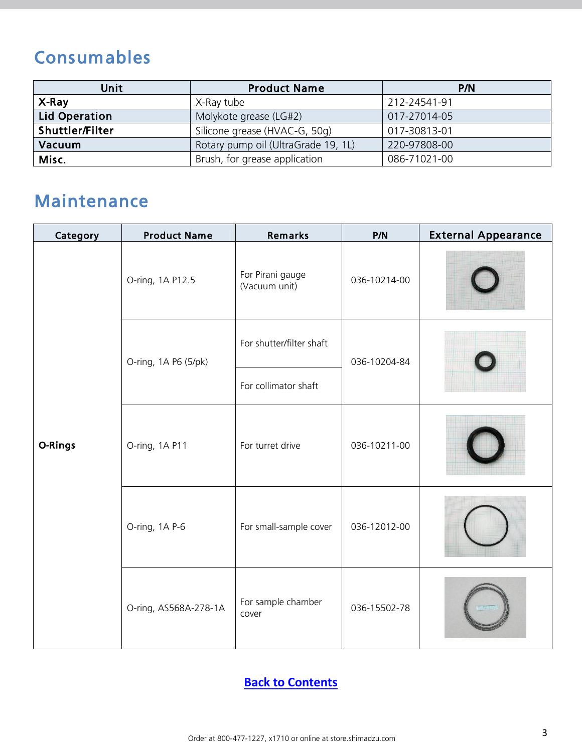## <span id="page-2-0"></span>Consumables

| Unit                 | <b>Product Name</b>                 | P/N          |
|----------------------|-------------------------------------|--------------|
| X-Ray                | X-Ray tube                          | 212-24541-91 |
| <b>Lid Operation</b> | Molykote grease (LG#2)              | 017-27014-05 |
| Shuttler/Filter      | Silicone grease (HVAC-G, 50g)       | 017-30813-01 |
| Vacuum               | Rotary pump oil (UltraGrade 19, 1L) | 220-97808-00 |
| Misc.                | Brush, for grease application       | 086-71021-00 |

### <span id="page-2-1"></span>Maintenance

| Category | <b>Product Name</b>   | Remarks                           | P/N          | <b>External Appearance</b> |
|----------|-----------------------|-----------------------------------|--------------|----------------------------|
|          | O-ring, 1A P12.5      | For Pirani gauge<br>(Vacuum unit) | 036-10214-00 |                            |
|          | O-ring, 1A P6 (5/pk)  | For shutter/filter shaft          | 036-10204-84 |                            |
|          |                       | For collimator shaft              |              |                            |
| O-Rings  | O-ring, 1A P11        | For turret drive                  | 036-10211-00 |                            |
|          | O-ring, 1A P-6        | For small-sample cover            | 036-12012-00 |                            |
|          | O-ring, AS568A-278-1A | For sample chamber<br>cover       | 036-15502-78 |                            |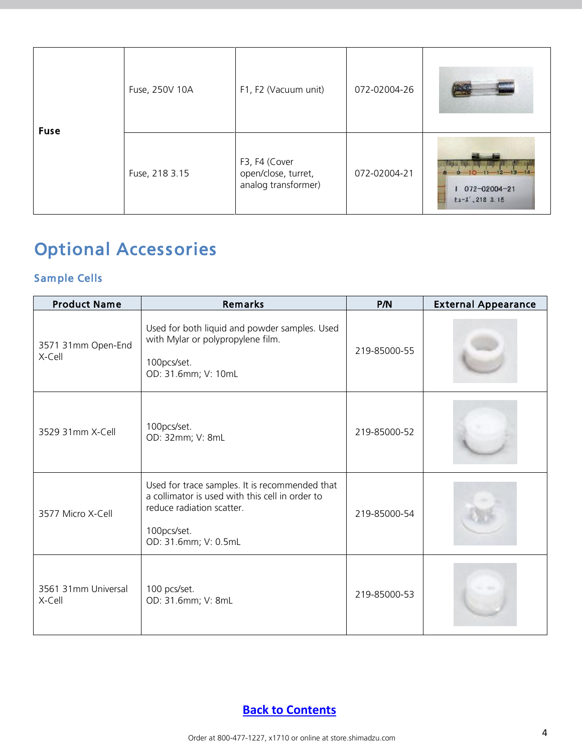<span id="page-3-0"></span>

| <b>Fuse</b> | Fuse, 250V 10A | F1, F2 (Vacuum unit)                                        | 072-02004-26 |                                                                                                                                                   |
|-------------|----------------|-------------------------------------------------------------|--------------|---------------------------------------------------------------------------------------------------------------------------------------------------|
|             | Fuse, 218 3.15 | F3, F4 (Cover<br>open/close, turret,<br>analog transformer) | 072-02004-21 | <u> 1967an - Angelin III, mangalang mga Ulime (Ulime at </u><br>$9 - 10 - 11 - 12 - 13 - 14$<br>$072 - 02004 - 21$<br>$t_1 - \lambda'$ , 218 3.15 |

## <span id="page-3-1"></span>Optional Accessories

#### <span id="page-3-2"></span>Sample Cells

| <b>Product Name</b>           | Remarks                                                                                                                                                               | P/N          | <b>External Appearance</b> |
|-------------------------------|-----------------------------------------------------------------------------------------------------------------------------------------------------------------------|--------------|----------------------------|
| 3571 31mm Open-End<br>X-Cell  | Used for both liquid and powder samples. Used<br>with Mylar or polypropylene film.<br>100pcs/set.<br>OD: 31.6mm; V: 10mL                                              | 219-85000-55 |                            |
| 3529 31mm X-Cell              | 100pcs/set.<br>OD: 32mm; V: 8mL                                                                                                                                       | 219-85000-52 |                            |
| 3577 Micro X-Cell             | Used for trace samples. It is recommended that<br>a collimator is used with this cell in order to<br>reduce radiation scatter.<br>100pcs/set.<br>OD: 31.6mm; V: 0.5mL | 219-85000-54 |                            |
| 3561 31mm Universal<br>X-Cell | 100 pcs/set.<br>OD: 31.6mm; V: 8mL                                                                                                                                    | 219-85000-53 |                            |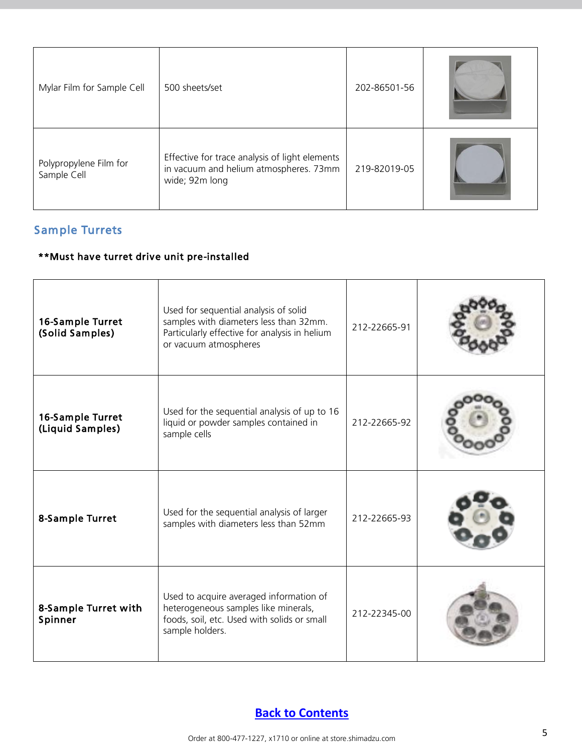| Mylar Film for Sample Cell            | 500 sheets/set                                                                                             | 202-86501-56 |  |
|---------------------------------------|------------------------------------------------------------------------------------------------------------|--------------|--|
| Polypropylene Film for<br>Sample Cell | Effective for trace analysis of light elements<br>in vacuum and helium atmospheres. 73mm<br>wide; 92m long | 219-82019-05 |  |

#### <span id="page-4-0"></span>Sample Turrets

#### \*\*Must have turret drive unit pre-installed

| 16-Sample Turret<br>(Solid Samples)  | Used for sequential analysis of solid<br>samples with diameters less than 32mm.<br>Particularly effective for analysis in helium<br>or vacuum atmospheres | 212-22665-91 |  |
|--------------------------------------|-----------------------------------------------------------------------------------------------------------------------------------------------------------|--------------|--|
| 16-Sample Turret<br>(Liquid Samples) | Used for the sequential analysis of up to 16<br>liquid or powder samples contained in<br>sample cells                                                     | 212-22665-92 |  |
| 8-Sample Turret                      | Used for the sequential analysis of larger<br>samples with diameters less than 52mm                                                                       | 212-22665-93 |  |
| 8-Sample Turret with<br>Spinner      | Used to acquire averaged information of<br>heterogeneous samples like minerals,<br>foods, soil, etc. Used with solids or small<br>sample holders.         | 212-22345-00 |  |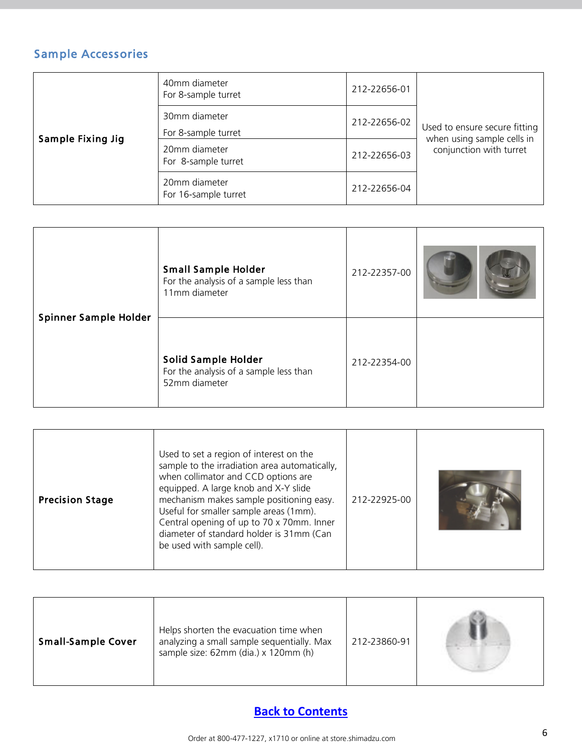#### <span id="page-5-0"></span>Sample Accessories

| Sample Fixing Jig | 40mm diameter<br>For 8-sample turret  | 212-22656-01 |                                                       |
|-------------------|---------------------------------------|--------------|-------------------------------------------------------|
|                   | 30mm diameter<br>For 8-sample turret  | 212-22656-02 | Used to ensure secure fitting                         |
|                   | 20mm diameter<br>For 8-sample turret  | 212-22656-03 | when using sample cells in<br>conjunction with turret |
|                   | 20mm diameter<br>For 16-sample turret | 212-22656-04 |                                                       |

|                       | <b>Small Sample Holder</b><br>For the analysis of a sample less than<br>11mm diameter | 212-22357-00 |  |
|-----------------------|---------------------------------------------------------------------------------------|--------------|--|
| Spinner Sample Holder | Solid Sample Holder<br>For the analysis of a sample less than<br>52mm diameter        | 212-22354-00 |  |

| Used to set a region of interest on the<br>sample to the irradiation area automatically,<br>when collimator and CCD options are<br>equipped. A large knob and X-Y slide<br>mechanism makes sample positioning easy.<br><b>Precision Stage</b><br>Useful for smaller sample areas (1mm).<br>Central opening of up to 70 x 70mm. Inner<br>diameter of standard holder is 31mm (Can<br>be used with sample cell). | 212-22925-00 |  |
|----------------------------------------------------------------------------------------------------------------------------------------------------------------------------------------------------------------------------------------------------------------------------------------------------------------------------------------------------------------------------------------------------------------|--------------|--|
|----------------------------------------------------------------------------------------------------------------------------------------------------------------------------------------------------------------------------------------------------------------------------------------------------------------------------------------------------------------------------------------------------------------|--------------|--|

| <b>Small-Sample Cover</b> | Helps shorten the evacuation time when<br>analyzing a small sample sequentially. Max<br>sample size: 62mm (dia.) x 120mm (h) | 212-23860-91 |  |
|---------------------------|------------------------------------------------------------------------------------------------------------------------------|--------------|--|
|---------------------------|------------------------------------------------------------------------------------------------------------------------------|--------------|--|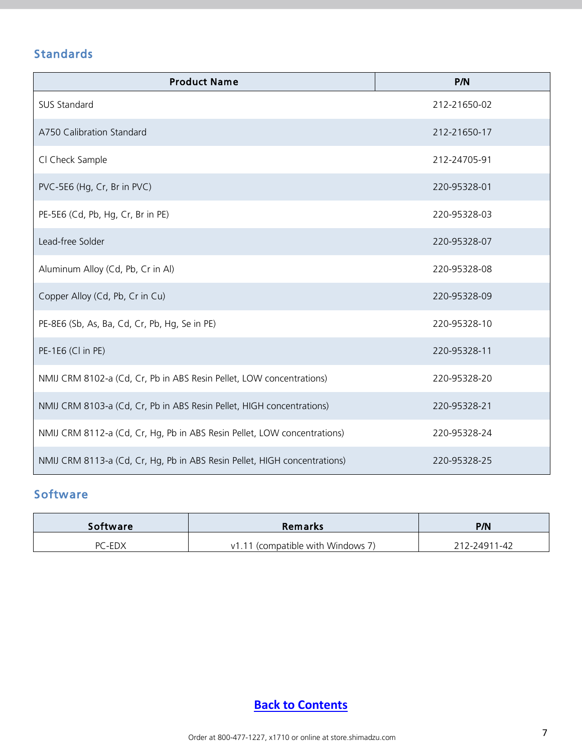#### <span id="page-6-0"></span>Standards

| <b>Product Name</b>                                                       | P/N          |
|---------------------------------------------------------------------------|--------------|
| SUS Standard                                                              | 212-21650-02 |
| A750 Calibration Standard                                                 | 212-21650-17 |
| Cl Check Sample                                                           | 212-24705-91 |
| PVC-5E6 (Hg, Cr, Br in PVC)                                               | 220-95328-01 |
| PE-5E6 (Cd, Pb, Hg, Cr, Br in PE)                                         | 220-95328-03 |
| Lead-free Solder                                                          | 220-95328-07 |
| Aluminum Alloy (Cd, Pb, Cr in Al)                                         | 220-95328-08 |
| Copper Alloy (Cd, Pb, Cr in Cu)                                           | 220-95328-09 |
| PE-8E6 (Sb, As, Ba, Cd, Cr, Pb, Hg, Se in PE)                             | 220-95328-10 |
| PE-1E6 (Cl in PE)                                                         | 220-95328-11 |
| NMIJ CRM 8102-a (Cd, Cr, Pb in ABS Resin Pellet, LOW concentrations)      | 220-95328-20 |
| NMIJ CRM 8103-a (Cd, Cr, Pb in ABS Resin Pellet, HIGH concentrations)     | 220-95328-21 |
| NMIJ CRM 8112-a (Cd, Cr, Hg, Pb in ABS Resin Pellet, LOW concentrations)  | 220-95328-24 |
| NMIJ CRM 8113-a (Cd, Cr, Hg, Pb in ABS Resin Pellet, HIGH concentrations) | 220-95328-25 |

#### <span id="page-6-1"></span>**Software**

| <b>Software</b> | <b>Remarks</b>                    | P/N          |
|-----------------|-----------------------------------|--------------|
| PC-EDX          | v1.11 (compatible with Windows 7) | 212-24911-42 |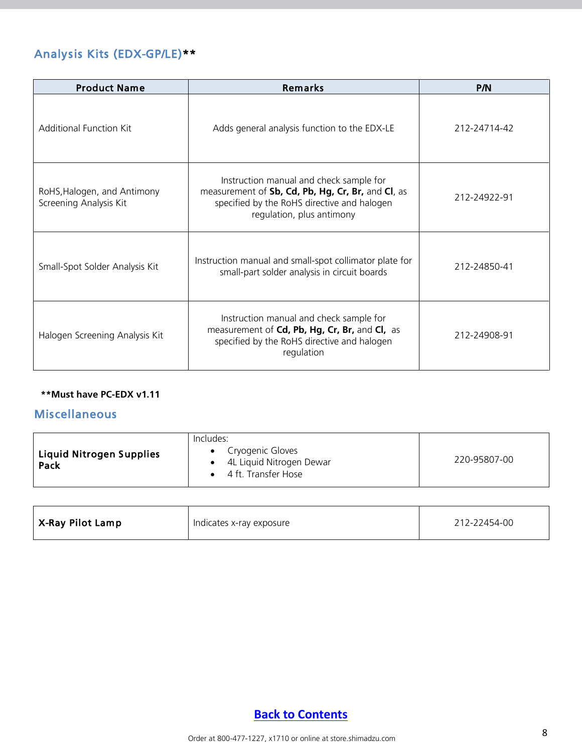#### <span id="page-7-0"></span>Analysis Kits (EDX-GP/LE)\*\*

| <b>Product Name</b>                                   | Remarks                                                                                                                                                                  | P/N          |
|-------------------------------------------------------|--------------------------------------------------------------------------------------------------------------------------------------------------------------------------|--------------|
| <b>Additional Function Kit</b>                        | Adds general analysis function to the EDX-LE                                                                                                                             | 212-24714-42 |
| RoHS, Halogen, and Antimony<br>Screening Analysis Kit | Instruction manual and check sample for<br>measurement of Sb, Cd, Pb, Hg, Cr, Br, and Cl, as<br>specified by the RoHS directive and halogen<br>regulation, plus antimony | 212-24922-91 |
| Small-Spot Solder Analysis Kit                        | Instruction manual and small-spot collimator plate for<br>small-part solder analysis in circuit boards                                                                   | 212-24850-41 |
| Halogen Screening Analysis Kit                        | Instruction manual and check sample for<br>measurement of Cd, Pb, Hg, Cr, Br, and Cl, as<br>specified by the RoHS directive and halogen<br>regulation                    | 212-24908-91 |

#### <span id="page-7-1"></span>**\*\*Must have PC-EDX v1.11**

#### Miscellaneous

| <b>Liquid Nitrogen Supplies</b><br>Pack | Includes:<br>Cryogenic Gloves<br>4L Liquid Nitrogen Dewar<br>4 ft. Transfer Hose | 220-95807-00 |
|-----------------------------------------|----------------------------------------------------------------------------------|--------------|
|-----------------------------------------|----------------------------------------------------------------------------------|--------------|

| ' X-Ray Pilot Lamp<br>212-22454-00<br>Indicates x-ray exposure |  |
|----------------------------------------------------------------|--|
|----------------------------------------------------------------|--|